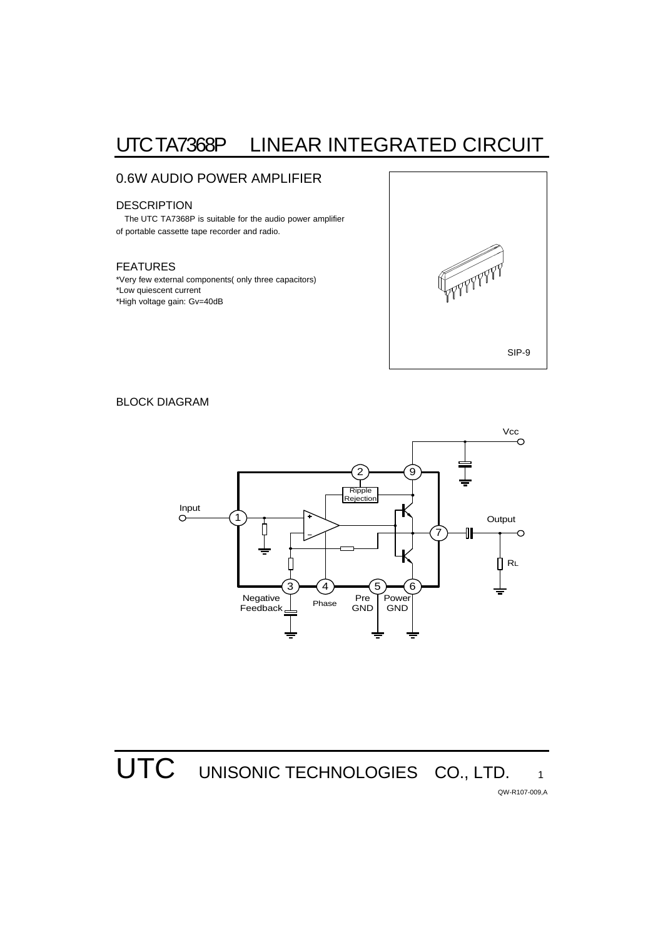# UTC TA7368P LINEAR INTEGRATED CIRCUIT

## 0.6W AUDIO POWER AMPLIFIER

### **DESCRIPTION**

 The UTC TA7368P is suitable for the audio power amplifier of portable cassette tape recorder and radio.

#### FEATURES

\*Very few external components( only three capacitors) \*Low quiescent current \*High voltage gain: Gv=40dB



### BLOCK DIAGRAM



**UTC** UNISONIC TECHNOLOGIES CO., LTD.

QW-R107-009,A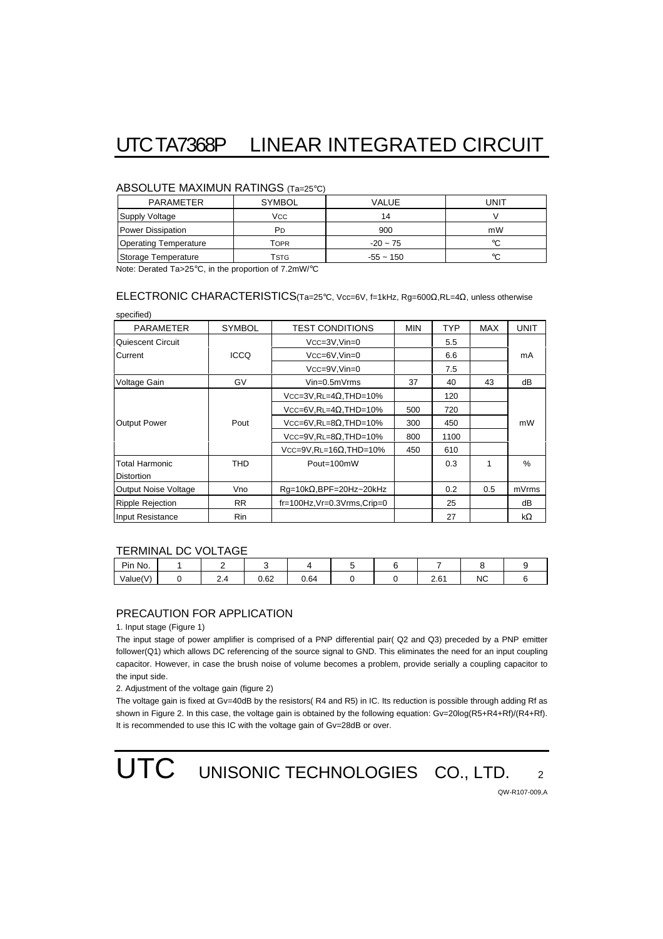# UTC TA7368P LINEAR INTEGRATED CIRCUIT

#### ABSOLUTE MAXIMUN RATINGS (Ta=25°C)

| <b>PARAMETER</b>             | <b>SYMBOL</b> | VALUE       | UNIT |  |  |  |  |  |  |  |
|------------------------------|---------------|-------------|------|--|--|--|--|--|--|--|
| Supply Voltage               | Vcc           | 14          |      |  |  |  |  |  |  |  |
| <b>Power Dissipation</b>     | PD            | 900         | mW   |  |  |  |  |  |  |  |
| <b>Operating Temperature</b> | Topr          | $-20 - 75$  | °C   |  |  |  |  |  |  |  |
| Storage Temperature          | Tstg          | $-55 - 150$ | °C   |  |  |  |  |  |  |  |

Note: Derated Ta>25°C, in the proportion of 7.2mW/°C

## ELECTRONIC CHARACTERISTICS(Ta=25°C, Vcc=6V, f=1kHz, Rg=600Ω,RL=4Ω, unless otherwise

PARAMETER SYMBOL TEST CONDITIONS MIN TYP MAX UNIT Quiescent Circuit  $\vert$  VCC=3V,Vin=0  $\vert$  5.5 Current | ICCQ | VCC=6V,Vin=0 | 6.6 | | mA VCC=9V,Vin=0 7.5 Voltage Gain  $\begin{vmatrix} 1 & 2 & 3 \end{vmatrix}$  GV  $\begin{vmatrix} 1 & 3 & 3 \end{vmatrix}$  40  $\begin{vmatrix} 43 & 43 \end{vmatrix}$  dB  $Vcc=3V,RL=4\Omega,THD=10\%$  120 VCC=6V,RL=4Ω,THD=10% 500 720 Output Power Pout VCC=6V,RL=8Ω,THD=10% 300 450 mW  $VCC=9V, RL=8Ω, THD=10%$  800 1100  $VCC=9V, RL=16Ω, THD=10%$  450 610 Total Harmonic Distortion THD | Pout=100mW | 0.3 | 1 | % Output Noise Voltage | Vno | Rg=10kΩ,BPF=20Hz~20kHz | | 0.2 | 0.5 | mVrms Ripple Rejection  $RR$  fr=100Hz, Vr=0.3Vrms, Crip=0  $25$  25 dB Input Resistance Rin Rin 27 kΩ

#### TERMINAL DC VOLTAGE

| Pin No.  |         |      |      |  |                                      |    |  |
|----------|---------|------|------|--|--------------------------------------|----|--|
| Value(V) | <u></u> | 0.62 | 0.64 |  | $\mathbf{C}$<br>$\sim$ $\sim$ $\sim$ | ΝC |  |

#### PRECAUTION FOR APPLICATION

1. Input stage (Figure 1)

specified)

The input stage of power amplifier is comprised of a PNP differential pair( Q2 and Q3) preceded by a PNP emitter follower(Q1) which allows DC referencing of the source signal to GND. This eliminates the need for an input coupling capacitor. However, in case the brush noise of volume becomes a problem, provide serially a coupling capacitor to the input side.

2. Adjustment of the voltage gain (figure 2)

The voltage gain is fixed at Gv=40dB by the resistors(R4 and R5) in IC. Its reduction is possible through adding Rf as shown in Figure 2. In this case, the voltage gain is obtained by the following equation: Gv=20log(R5+R4+Rf)/(R4+Rf). It is recommended to use this IC with the voltage gain of Gv=28dB or over.

UTC UNISONIC TECHNOLOGIES CO., LTD. 2

QW-R107-009,A